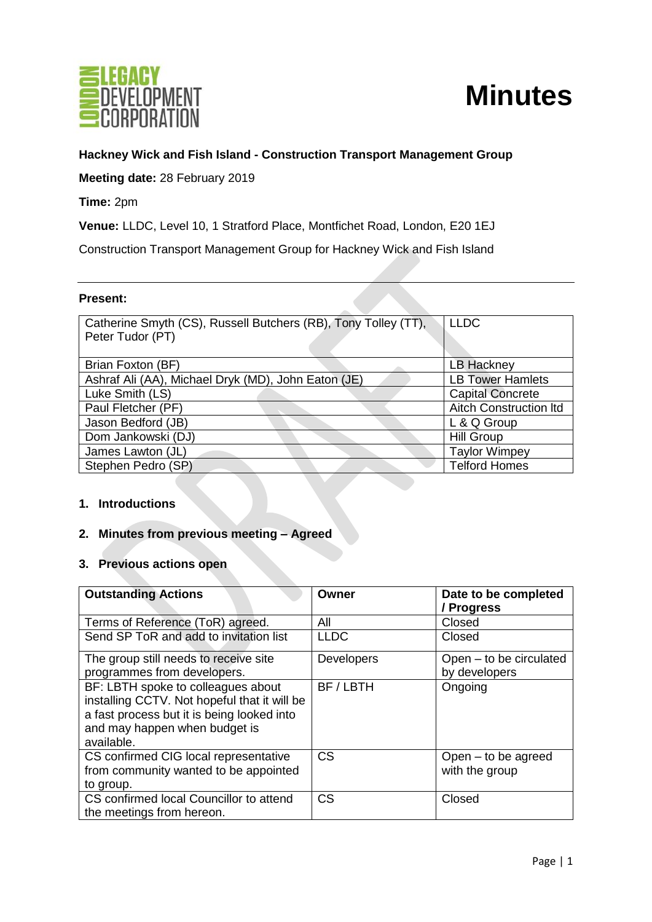

# **Minutes**

# **Hackney Wick and Fish Island - Construction Transport Management Group**

**Meeting date:** 28 February 2019

**Time:** 2pm

**Venue:** LLDC, Level 10, 1 Stratford Place, Montfichet Road, London, E20 1EJ

Construction Transport Management Group for Hackney Wick and Fish Island

#### **Present:**

| Catherine Smyth (CS), Russell Butchers (RB), Tony Tolley (TT), | <b>LLDC</b>                   |
|----------------------------------------------------------------|-------------------------------|
| Peter Tudor (PT)                                               |                               |
|                                                                |                               |
| Brian Foxton (BF)                                              | <b>LB Hackney</b>             |
| Ashraf Ali (AA), Michael Dryk (MD), John Eaton (JE)            | <b>LB Tower Hamlets</b>       |
| Luke Smith (LS)                                                | <b>Capital Concrete</b>       |
| Paul Fletcher (PF)                                             | <b>Aitch Construction Itd</b> |
| Jason Bedford (JB)                                             | L & Q Group                   |
| Dom Jankowski (DJ)                                             | <b>Hill Group</b>             |
| James Lawton (JL)                                              | <b>Taylor Wimpey</b>          |
| Stephen Pedro (SP)                                             | <b>Telford Homes</b>          |

## **1. Introductions**

# **2. Minutes from previous meeting – Agreed**

#### **3. Previous actions open**

| <b>Outstanding Actions</b>                                                                                                                                                      | Owner             | Date to be completed<br>/ Progress       |
|---------------------------------------------------------------------------------------------------------------------------------------------------------------------------------|-------------------|------------------------------------------|
| Terms of Reference (ToR) agreed.                                                                                                                                                | All               | Closed                                   |
| Send SP ToR and add to invitation list                                                                                                                                          | <b>LLDC</b>       | Closed                                   |
| The group still needs to receive site<br>programmes from developers.                                                                                                            | <b>Developers</b> | Open – to be circulated<br>by developers |
| BF: LBTH spoke to colleagues about<br>installing CCTV. Not hopeful that it will be<br>a fast process but it is being looked into<br>and may happen when budget is<br>available. | BF/LBTH           | Ongoing                                  |
| CS confirmed CIG local representative<br>from community wanted to be appointed<br>to group.                                                                                     | <b>CS</b>         | Open – to be agreed<br>with the group    |
| CS confirmed local Councillor to attend<br>the meetings from hereon.                                                                                                            | <b>CS</b>         | Closed                                   |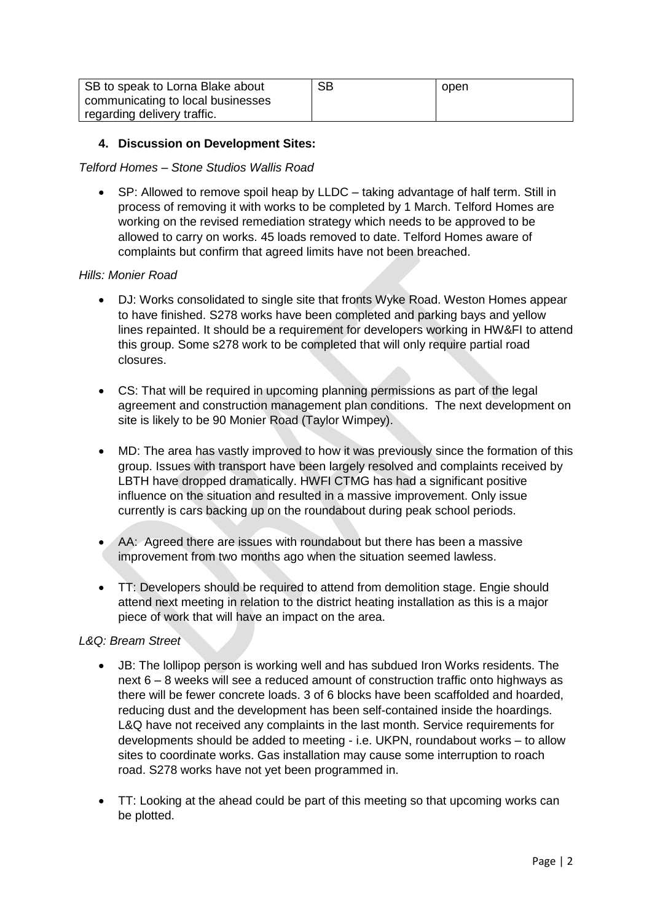| SB to speak to Lorna Blake about  | SB | open |
|-----------------------------------|----|------|
| communicating to local businesses |    |      |
| regarding delivery traffic.       |    |      |

## **4. Discussion on Development Sites:**

#### *Telford Homes – Stone Studios Wallis Road*

• SP: Allowed to remove spoil heap by LLDC – taking advantage of half term. Still in process of removing it with works to be completed by 1 March. Telford Homes are working on the revised remediation strategy which needs to be approved to be allowed to carry on works. 45 loads removed to date. Telford Homes aware of complaints but confirm that agreed limits have not been breached.

#### *Hills: Monier Road*

- DJ: Works consolidated to single site that fronts Wyke Road. Weston Homes appear to have finished. S278 works have been completed and parking bays and yellow lines repainted. It should be a requirement for developers working in HW&FI to attend this group. Some s278 work to be completed that will only require partial road closures.
- CS: That will be required in upcoming planning permissions as part of the legal agreement and construction management plan conditions. The next development on site is likely to be 90 Monier Road (Taylor Wimpey).
- MD: The area has vastly improved to how it was previously since the formation of this group. Issues with transport have been largely resolved and complaints received by LBTH have dropped dramatically. HWFI CTMG has had a significant positive influence on the situation and resulted in a massive improvement. Only issue currently is cars backing up on the roundabout during peak school periods.
- AA: Agreed there are issues with roundabout but there has been a massive improvement from two months ago when the situation seemed lawless.
- TT: Developers should be required to attend from demolition stage. Engie should attend next meeting in relation to the district heating installation as this is a major piece of work that will have an impact on the area.

## *L&Q: Bream Street*

- JB: The lollipop person is working well and has subdued Iron Works residents. The next 6 – 8 weeks will see a reduced amount of construction traffic onto highways as there will be fewer concrete loads. 3 of 6 blocks have been scaffolded and hoarded, reducing dust and the development has been self-contained inside the hoardings. L&Q have not received any complaints in the last month. Service requirements for developments should be added to meeting - i.e. UKPN, roundabout works – to allow sites to coordinate works. Gas installation may cause some interruption to roach road. S278 works have not yet been programmed in.
- TT: Looking at the ahead could be part of this meeting so that upcoming works can be plotted.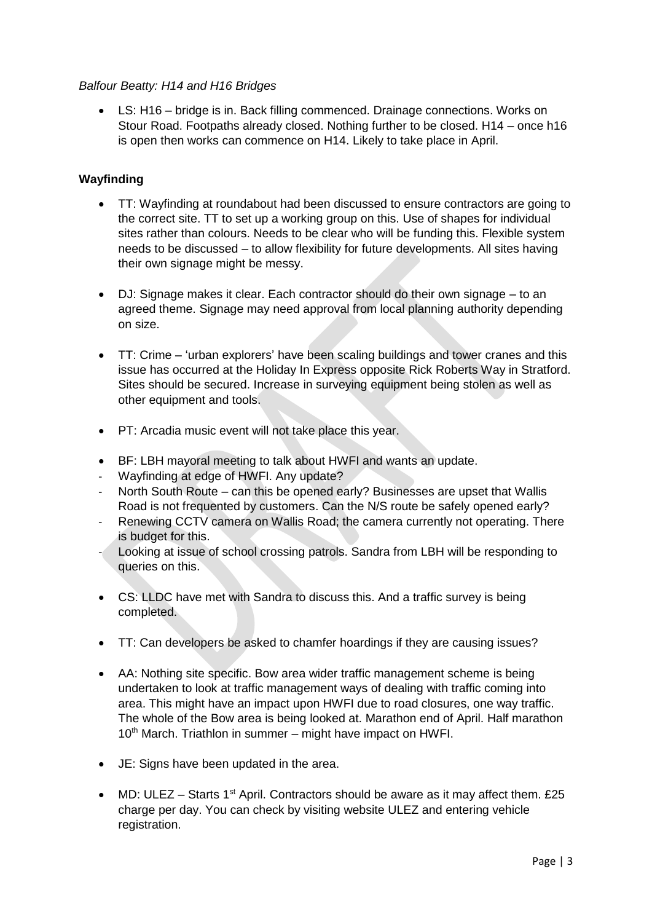#### *Balfour Beatty: H14 and H16 Bridges*

• LS: H16 – bridge is in. Back filling commenced. Drainage connections. Works on Stour Road. Footpaths already closed. Nothing further to be closed. H14 – once h16 is open then works can commence on H14. Likely to take place in April.

#### **Wayfinding**

- TT: Wayfinding at roundabout had been discussed to ensure contractors are going to the correct site. TT to set up a working group on this. Use of shapes for individual sites rather than colours. Needs to be clear who will be funding this. Flexible system needs to be discussed – to allow flexibility for future developments. All sites having their own signage might be messy.
- DJ: Signage makes it clear. Each contractor should do their own signage to an agreed theme. Signage may need approval from local planning authority depending on size.
- TT: Crime 'urban explorers' have been scaling buildings and tower cranes and this issue has occurred at the Holiday In Express opposite Rick Roberts Way in Stratford. Sites should be secured. Increase in surveying equipment being stolen as well as other equipment and tools.
- PT: Arcadia music event will not take place this year.
- BF: LBH mayoral meeting to talk about HWFI and wants an update.
- Wayfinding at edge of HWFI. Any update?
- North South Route can this be opened early? Businesses are upset that Wallis Road is not frequented by customers. Can the N/S route be safely opened early?
- Renewing CCTV camera on Wallis Road; the camera currently not operating. There is budget for this.
- Looking at issue of school crossing patrols. Sandra from LBH will be responding to queries on this.
- CS: LLDC have met with Sandra to discuss this. And a traffic survey is being completed.
- TT: Can developers be asked to chamfer hoardings if they are causing issues?
- AA: Nothing site specific. Bow area wider traffic management scheme is being undertaken to look at traffic management ways of dealing with traffic coming into area. This might have an impact upon HWFI due to road closures, one way traffic. The whole of the Bow area is being looked at. Marathon end of April. Half marathon  $10<sup>th</sup>$  March. Triathlon in summer – might have impact on HWFI.
- JE: Signs have been updated in the area.
- MD: ULEZ Starts 1<sup>st</sup> April. Contractors should be aware as it may affect them.  $£25$ charge per day. You can check by visiting website ULEZ and entering vehicle registration.